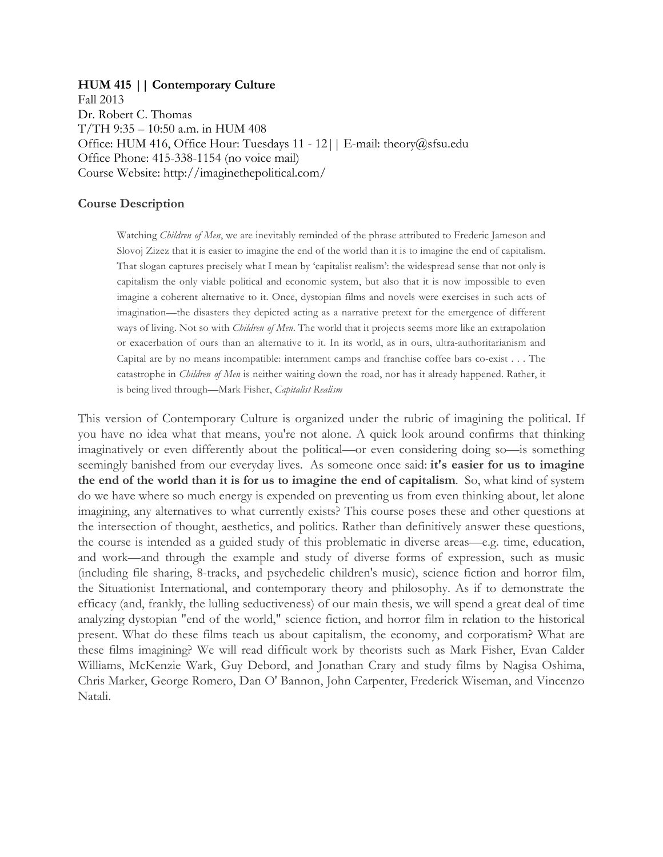#### **HUM 415 || Contemporary Culture**

Fall 2013 Dr. Robert C. Thomas T/TH 9:35 – 10:50 a.m. in HUM 408 Office: HUM 416, Office Hour: Tuesdays 11 - 12|| E-mail: theory@sfsu.edu Office Phone: 415-338-1154 (no voice mail) Course Website: http://imaginethepolitical.com/

#### **Course Description**

Watching *Children of Men*, we are inevitably reminded of the phrase attributed to Frederic Jameson and Slovoj Zizez that it is easier to imagine the end of the world than it is to imagine the end of capitalism. That slogan captures precisely what I mean by 'capitalist realism': the widespread sense that not only is capitalism the only viable political and economic system, but also that it is now impossible to even imagine a coherent alternative to it. Once, dystopian films and novels were exercises in such acts of imagination—the disasters they depicted acting as a narrative pretext for the emergence of different ways of living. Not so with *Children of Men*. The world that it projects seems more like an extrapolation or exacerbation of ours than an alternative to it. In its world, as in ours, ultra-authoritarianism and Capital are by no means incompatible: internment camps and franchise coffee bars co-exist . . . The catastrophe in *Children of Men* is neither waiting down the road, nor has it already happened. Rather, it is being lived through—Mark Fisher, *Capitalist Realism*

This version of Contemporary Culture is organized under the rubric of imagining the political. If you have no idea what that means, you're not alone. A quick look around confirms that thinking imaginatively or even differently about the political—or even considering doing so—is something seemingly banished from our everyday lives. As someone once said: **it's easier for us to imagine the end of the world than it is for us to imagine the end of capitalism**. So, what kind of system do we have where so much energy is expended on preventing us from even thinking about, let alone imagining, any alternatives to what currently exists? This course poses these and other questions at the intersection of thought, aesthetics, and politics. Rather than definitively answer these questions, the course is intended as a guided study of this problematic in diverse areas—e.g. time, education, and work—and through the example and study of diverse forms of expression, such as music (including file sharing, 8-tracks, and psychedelic children's music), science fiction and horror film, the Situationist International, and contemporary theory and philosophy. As if to demonstrate the efficacy (and, frankly, the lulling seductiveness) of our main thesis, we will spend a great deal of time analyzing dystopian "end of the world," science fiction, and horror film in relation to the historical present. What do these films teach us about capitalism, the economy, and corporatism? What are these films imagining? We will read difficult work by theorists such as Mark Fisher, Evan Calder Williams, McKenzie Wark, Guy Debord, and Jonathan Crary and study films by Nagisa Oshima, Chris Marker, George Romero, Dan O' Bannon, John Carpenter, Frederick Wiseman, and Vincenzo Natali.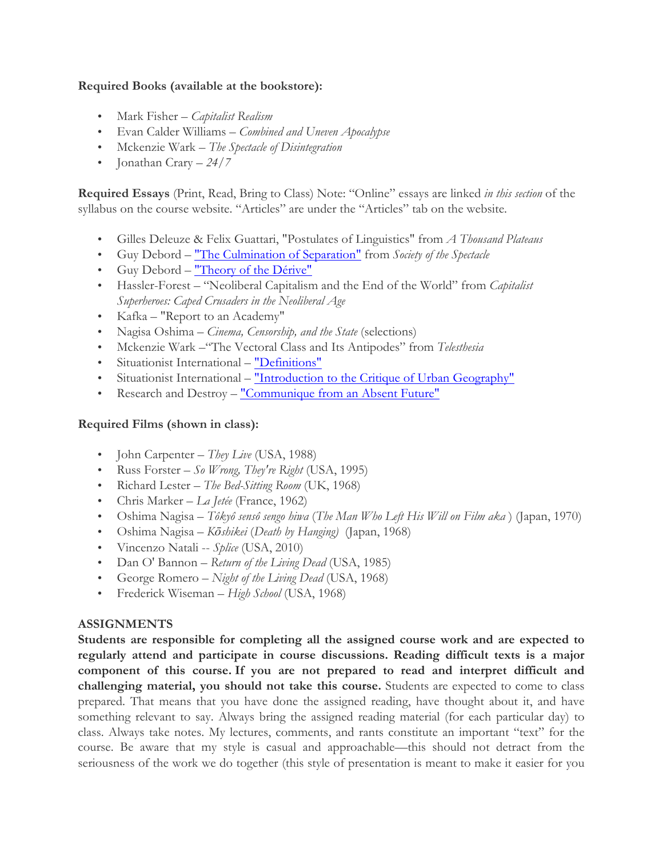### **Required Books (available at the bookstore):**

- Mark Fisher *Capitalist Realism*
- Evan Calder Williams *– Combined and Uneven Apocalypse*
- Mckenzie Wark *– The Spectacle of Disintegration*
- Jonathan Crary *– 24/7*

**Required Essays** (Print, Read, Bring to Class) Note: "Online" essays are linked *in this section* of the syllabus on the course website. "Articles" are under the "Articles" tab on the website.

- Gilles Deleuze & Felix Guattari, "Postulates of Linguistics" from *A Thousand Plateaus*
- Guy Debord "The Culmination of Separation" from *Society of the Spectacle*
- Guy Debord "Theory of the Dérive"
- Hassler-Forest "Neoliberal Capitalism and the End of the World" from *Capitalist Superheroes: Caped Crusaders in the Neoliberal Age*
- Kafka "Report to an Academy"
- Nagisa Oshima *Cinema, Censorship, and the State* (selections)
- Mckenzie Wark –"The Vectoral Class and Its Antipodes" from *Telesthesia*
- Situationist International "Definitions"
- Situationist International "Introduction to the Critique of Urban Geography"
- Research and Destroy "Communique from an Absent Future"

## **Required Films (shown in class):**

- John Carpenter *They Live* (USA, 1988)
- Russ Forster *So Wrong, They're Right* (USA, 1995)
- Richard Lester *The Bed-Sitting Room* (UK, 1968)
- Chris Marker *La Jetée* (France, 1962)
- Oshima Nagisa *Tôkyô sensô sengo hiwa* (*The Man Who Left His Will on Film aka* ) (Japan, 1970)
- Oshima Nagisa *– Kōshikei* (*Death by Hanging)* (Japan, 1968)
- Vincenzo Natali -- *Splice* (USA, 2010)
- Dan O' Bannon *Return of the Living Dead* (USA, 1985)
- George Romero *Night of the Living Dead* (USA, 1968)
- Frederick Wiseman *High School* (USA, 1968)

## **ASSIGNMENTS**

**Students are responsible for completing all the assigned course work and are expected to regularly attend and participate in course discussions. Reading difficult texts is a major component of this course. If you are not prepared to read and interpret difficult and challenging material, you should not take this course.** Students are expected to come to class prepared. That means that you have done the assigned reading, have thought about it, and have something relevant to say. Always bring the assigned reading material (for each particular day) to class. Always take notes. My lectures, comments, and rants constitute an important "text" for the course. Be aware that my style is casual and approachable—this should not detract from the seriousness of the work we do together (this style of presentation is meant to make it easier for you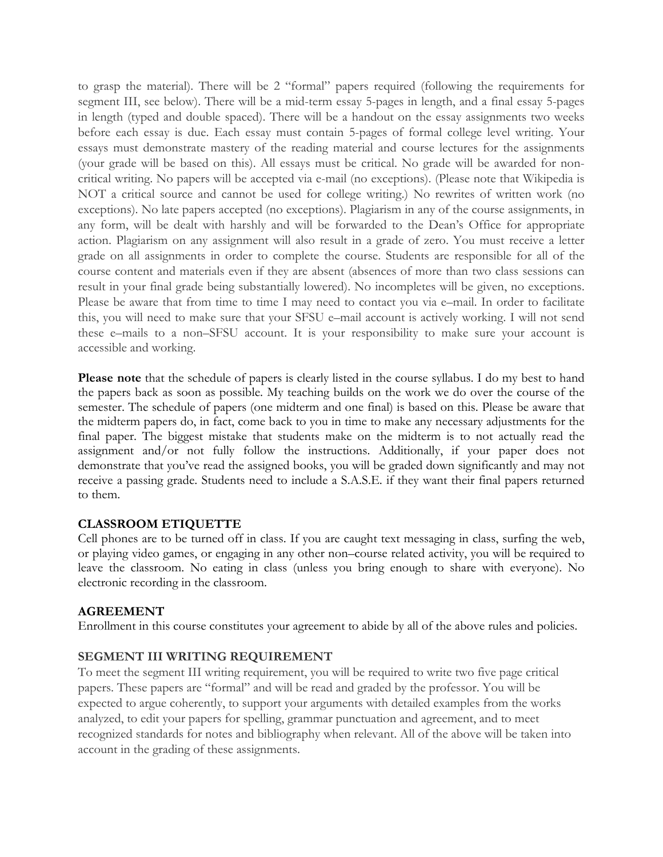to grasp the material). There will be 2 "formal" papers required (following the requirements for segment III, see below). There will be a mid-term essay 5-pages in length, and a final essay 5-pages in length (typed and double spaced). There will be a handout on the essay assignments two weeks before each essay is due. Each essay must contain 5-pages of formal college level writing. Your essays must demonstrate mastery of the reading material and course lectures for the assignments (your grade will be based on this). All essays must be critical. No grade will be awarded for noncritical writing. No papers will be accepted via e-mail (no exceptions). (Please note that Wikipedia is NOT a critical source and cannot be used for college writing.) No rewrites of written work (no exceptions). No late papers accepted (no exceptions). Plagiarism in any of the course assignments, in any form, will be dealt with harshly and will be forwarded to the Dean's Office for appropriate action. Plagiarism on any assignment will also result in a grade of zero. You must receive a letter grade on all assignments in order to complete the course. Students are responsible for all of the course content and materials even if they are absent (absences of more than two class sessions can result in your final grade being substantially lowered). No incompletes will be given, no exceptions. Please be aware that from time to time I may need to contact you via e–mail. In order to facilitate this, you will need to make sure that your SFSU e–mail account is actively working. I will not send these e–mails to a non–SFSU account. It is your responsibility to make sure your account is accessible and working.

**Please note** that the schedule of papers is clearly listed in the course syllabus. I do my best to hand the papers back as soon as possible. My teaching builds on the work we do over the course of the semester. The schedule of papers (one midterm and one final) is based on this. Please be aware that the midterm papers do, in fact, come back to you in time to make any necessary adjustments for the final paper. The biggest mistake that students make on the midterm is to not actually read the assignment and/or not fully follow the instructions. Additionally, if your paper does not demonstrate that you've read the assigned books, you will be graded down significantly and may not receive a passing grade. Students need to include a S.A.S.E. if they want their final papers returned to them.

### **CLASSROOM ETIQUETTE**

Cell phones are to be turned off in class. If you are caught text messaging in class, surfing the web, or playing video games, or engaging in any other non–course related activity, you will be required to leave the classroom. No eating in class (unless you bring enough to share with everyone). No electronic recording in the classroom.

### **AGREEMENT**

Enrollment in this course constitutes your agreement to abide by all of the above rules and policies.

### **SEGMENT III WRITING REQUIREMENT**

To meet the segment III writing requirement, you will be required to write two five page critical papers. These papers are "formal" and will be read and graded by the professor. You will be expected to argue coherently, to support your arguments with detailed examples from the works analyzed, to edit your papers for spelling, grammar punctuation and agreement, and to meet recognized standards for notes and bibliography when relevant. All of the above will be taken into account in the grading of these assignments.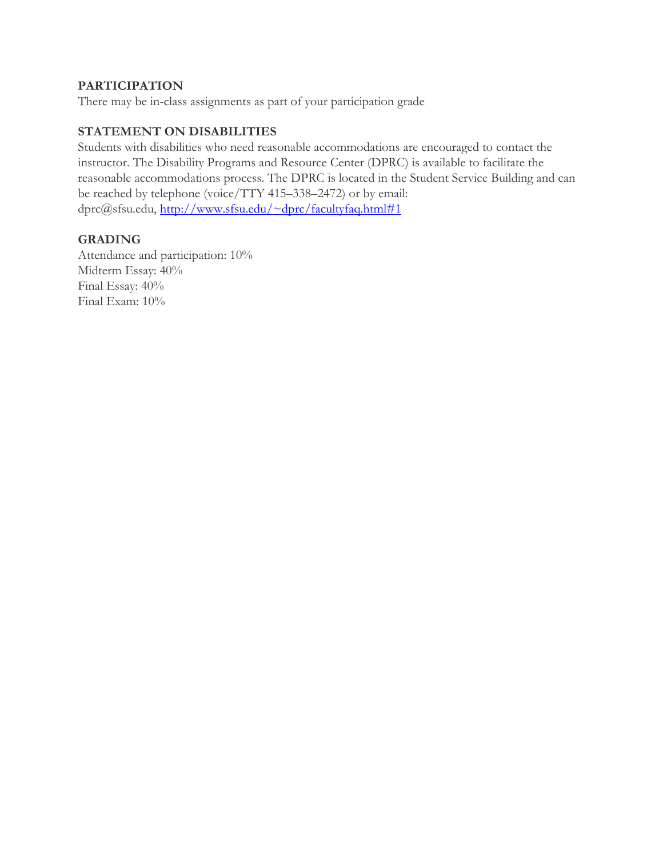## **PARTICIPATION**

There may be in-class assignments as part of your participation grade

# **STATEMENT ON DISABILITIES**

Students with disabilities who need reasonable accommodations are encouraged to contact the instructor. The Disability Programs and Resource Center (DPRC) is available to facilitate the reasonable accommodations process. The DPRC is located in the Student Service Building and can be reached by telephone (voice/TTY 415–338–2472) or by email: dprc@sfsu.edu, http://www.sfsu.edu/~dprc/facultyfaq.html#1

### **GRADING**

Attendance and participation: 10% Midterm Essay: 40% Final Essay: 40% Final Exam: 10%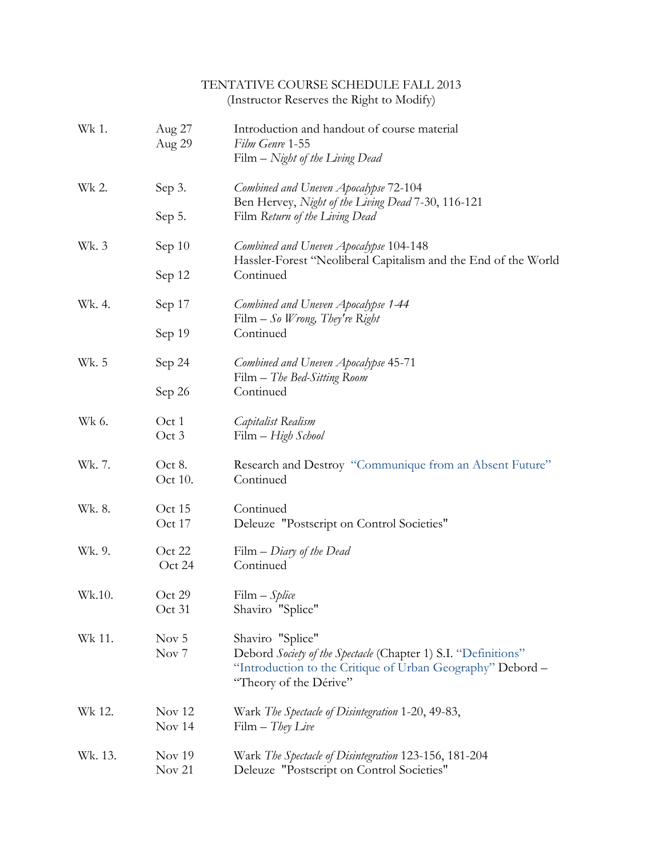|         |                                      | TENTATIVE COURSE SCHEDULE FALL 2013<br>(Instructor Reserves the Right to Modify)                                                                                           |
|---------|--------------------------------------|----------------------------------------------------------------------------------------------------------------------------------------------------------------------------|
| Wk 1.   | Aug 27<br>Aug 29                     | Introduction and handout of course material<br>Film Genre 1-55<br>Film - Night of the Living Dead                                                                          |
| Wk 2.   | Sep 3.                               | Combined and Uneven Apocalypse 72-104<br>Ben Hervey, Night of the Living Dead 7-30, 116-121                                                                                |
|         | Sep $5$ .                            | Film Return of the Living Dead                                                                                                                                             |
| Wk. 3   | Sep 10                               | Combined and Uneven Apocalypse 104-148<br>Hassler-Forest "Neoliberal Capitalism and the End of the World                                                                   |
|         | Sep 12                               | Continued                                                                                                                                                                  |
| Wk. 4.  | Sep 17                               | Combined and Uneven Apocalypse 1-44<br>Film $-So$ <i>Wrong</i> , <i>They're Right</i>                                                                                      |
|         | Sep 19                               | Continued                                                                                                                                                                  |
| Wk. 5   | Sep 24                               | Combined and Uneven Apocalypse 45-71<br>Film - The Bed-Sitting Room                                                                                                        |
|         | Sep 26                               | Continued                                                                                                                                                                  |
| Wk 6.   | Oct 1<br>Oct 3                       | <i>Capitalist</i> Realism<br>Film – High School                                                                                                                            |
| Wk. 7.  | Oct 8.<br>Oct 10.                    | Research and Destroy "Communique from an Absent Future"<br>Continued                                                                                                       |
| Wk. 8.  | Oct 15<br>Oct 17                     | Continued<br>Deleuze "Postscript on Control Societies"                                                                                                                     |
| Wk. 9.  | Oct 22<br>Oct 24                     | $Film - Diary of the Dead$<br>Continued                                                                                                                                    |
| Wk.10.  | Oct 29<br>Oct 31                     | $Film - Spline$<br>Shaviro "Splice"                                                                                                                                        |
| Wk 11.  | Nov <sub>5</sub><br>Nov <sub>7</sub> | Shaviro "Splice"<br>Debord Society of the Spectacle (Chapter 1) S.I. "Definitions"<br>"Introduction to the Critique of Urban Geography" Debord -<br>"Theory of the Dérive" |
| Wk 12.  | Nov 12<br>Nov 14                     | Wark The Spectacle of Disintegration 1-20, 49-83,<br>$Film - They Live$                                                                                                    |
| Wk. 13. | Nov 19<br>Nov 21                     | Wark The Spectacle of Disintegration 123-156, 181-204<br>Deleuze "Postscript on Control Societies"                                                                         |